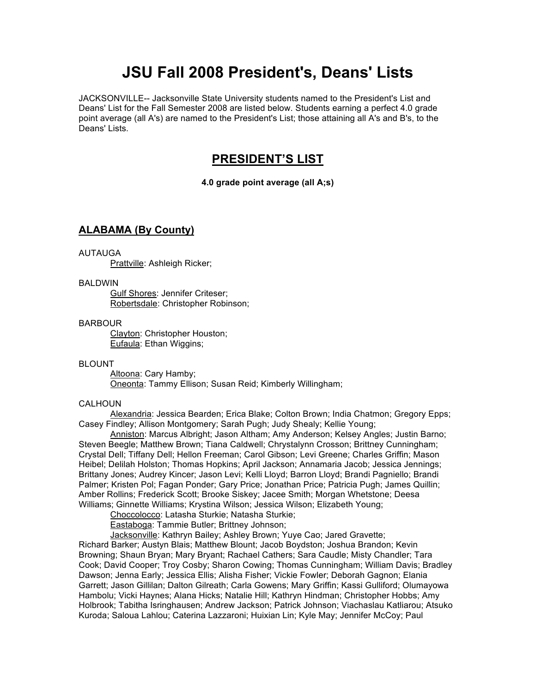# **JSU Fall 2008 President's, Deans' Lists**

JACKSONVILLE-- Jacksonville State University students named to the President's List and Deans' List for the Fall Semester 2008 are listed below. Students earning a perfect 4.0 grade point average (all A's) are named to the President's List; those attaining all A's and B's, to the Deans' Lists.

# **PRESIDENT'S LIST**

**4.0 grade point average (all A;s)**

# **ALABAMA (By County)**

### AUTAUGA

Prattville: Ashleigh Ricker;

### BALDWIN

Gulf Shores: Jennifer Criteser; Robertsdale: Christopher Robinson;

### BARBOUR

Clayton: Christopher Houston; Eufaula: Ethan Wiggins;

### BLOUNT

Altoona: Cary Hamby; Oneonta: Tammy Ellison; Susan Reid; Kimberly Willingham;

### CALHOUN

Alexandria: Jessica Bearden; Erica Blake; Colton Brown; India Chatmon; Gregory Epps; Casey Findley; Allison Montgomery; Sarah Pugh; Judy Shealy; Kellie Young;

Anniston: Marcus Albright; Jason Altham; Amy Anderson; Kelsey Angles; Justin Barno; Steven Beegle; Matthew Brown; Tiana Caldwell; Chrystalynn Crosson; Brittney Cunningham; Crystal Dell; Tiffany Dell; Hellon Freeman; Carol Gibson; Levi Greene; Charles Griffin; Mason Heibel; Delilah Holston; Thomas Hopkins; April Jackson; Annamaria Jacob; Jessica Jennings; Brittany Jones; Audrey Kincer; Jason Levi; Kelli Lloyd; Barron Lloyd; Brandi Pagniello; Brandi Palmer; Kristen Pol; Fagan Ponder; Gary Price; Jonathan Price; Patricia Pugh; James Quillin; Amber Rollins; Frederick Scott; Brooke Siskey; Jacee Smith; Morgan Whetstone; Deesa Williams; Ginnette Williams; Krystina Wilson; Jessica Wilson; Elizabeth Young;

Choccolocco: Latasha Sturkie; Natasha Sturkie;

Eastaboga: Tammie Butler; Brittney Johnson;

Jacksonville: Kathryn Bailey; Ashley Brown; Yuye Cao; Jared Gravette;

Richard Barker; Austyn Blais; Matthew Blount; Jacob Boydston; Joshua Brandon; Kevin Browning; Shaun Bryan; Mary Bryant; Rachael Cathers; Sara Caudle; Misty Chandler; Tara Cook; David Cooper; Troy Cosby; Sharon Cowing; Thomas Cunningham; William Davis; Bradley Dawson; Jenna Early; Jessica Ellis; Alisha Fisher; Vickie Fowler; Deborah Gagnon; Elania Garrett; Jason Gillilan; Dalton Gilreath; Carla Gowens; Mary Griffin; Kassi Gulliford; Olumayowa Hambolu; Vicki Haynes; Alana Hicks; Natalie Hill; Kathryn Hindman; Christopher Hobbs; Amy Holbrook; Tabitha Isringhausen; Andrew Jackson; Patrick Johnson; Viachaslau Katliarou; Atsuko Kuroda; Saloua Lahlou; Caterina Lazzaroni; Huixian Lin; Kyle May; Jennifer McCoy; Paul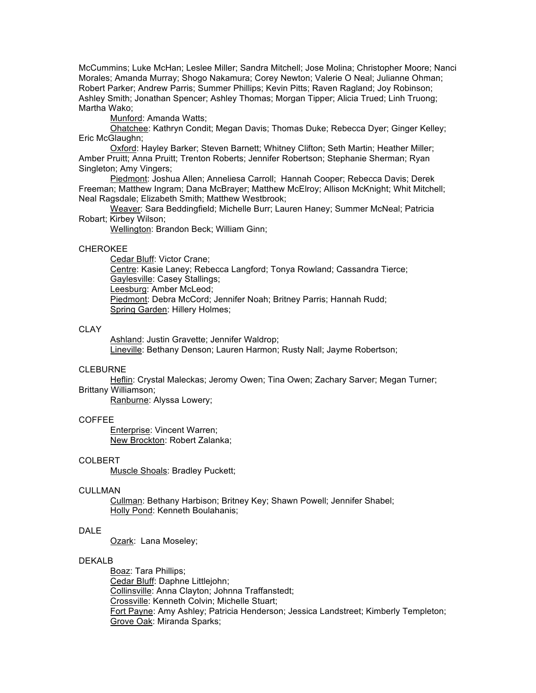McCummins; Luke McHan; Leslee Miller; Sandra Mitchell; Jose Molina; Christopher Moore; Nanci Morales; Amanda Murray; Shogo Nakamura; Corey Newton; Valerie O Neal; Julianne Ohman; Robert Parker; Andrew Parris; Summer Phillips; Kevin Pitts; Raven Ragland; Joy Robinson; Ashley Smith; Jonathan Spencer; Ashley Thomas; Morgan Tipper; Alicia Trued; Linh Truong; Martha Wako;

Munford: Amanda Watts;

Ohatchee: Kathryn Condit; Megan Davis; Thomas Duke; Rebecca Dyer; Ginger Kelley; Eric McGlaughn;

Oxford: Hayley Barker; Steven Barnett; Whitney Clifton; Seth Martin; Heather Miller; Amber Pruitt; Anna Pruitt; Trenton Roberts; Jennifer Robertson; Stephanie Sherman; Ryan Singleton; Amy Vingers;

Piedmont: Joshua Allen; Anneliesa Carroll; Hannah Cooper; Rebecca Davis; Derek Freeman; Matthew Ingram; Dana McBrayer; Matthew McElroy; Allison McKnight; Whit Mitchell; Neal Ragsdale; Elizabeth Smith; Matthew Westbrook;

Weaver: Sara Beddingfield; Michelle Burr; Lauren Haney; Summer McNeal; Patricia Robart; Kirbey Wilson;

Wellington: Brandon Beck; William Ginn;

# CHEROKEE

Cedar Bluff: Victor Crane;

Centre: Kasie Laney; Rebecca Langford; Tonya Rowland; Cassandra Tierce; Gaylesville: Casey Stallings;

Leesburg: Amber McLeod;

Piedmont: Debra McCord; Jennifer Noah; Britney Parris; Hannah Rudd; Spring Garden: Hillery Holmes;

### CLAY

Ashland: Justin Gravette; Jennifer Waldrop; Lineville: Bethany Denson; Lauren Harmon; Rusty Nall; Jayme Robertson;

### CLEBURNE

Heflin: Crystal Maleckas; Jeromy Owen; Tina Owen; Zachary Sarver; Megan Turner; Brittany Williamson;

Ranburne: Alyssa Lowery;

### COFFEE

Enterprise: Vincent Warren; New Brockton: Robert Zalanka;

### COLBERT

Muscle Shoals: Bradley Puckett;

### **CULLMAN**

Cullman: Bethany Harbison; Britney Key; Shawn Powell; Jennifer Shabel; Holly Pond: Kenneth Boulahanis;

# DALE

Ozark: Lana Moseley;

### DEKALB

Boaz: Tara Phillips; Cedar Bluff: Daphne Littlejohn; Collinsville: Anna Clayton; Johnna Traffanstedt; Crossville: Kenneth Colvin; Michelle Stuart; Fort Payne: Amy Ashley; Patricia Henderson; Jessica Landstreet; Kimberly Templeton; Grove Oak: Miranda Sparks;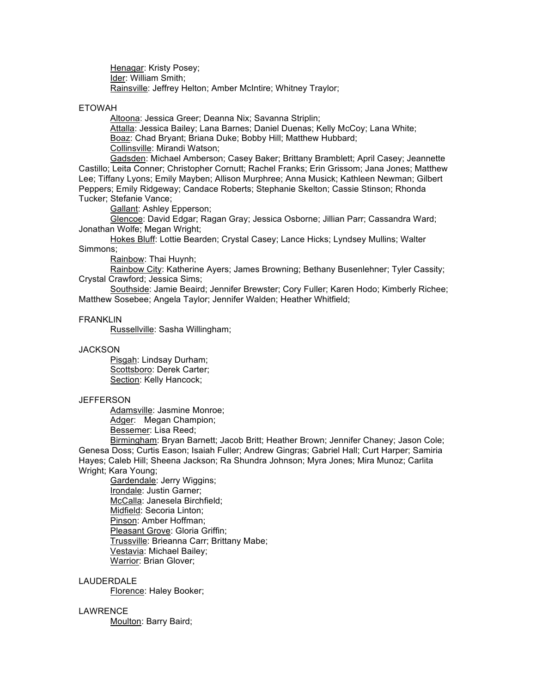Henagar: Kristy Posey; Ider: William Smith; Rainsville: Jeffrey Helton; Amber McIntire; Whitney Traylor;

ETOWAH

Altoona: Jessica Greer; Deanna Nix; Savanna Striplin;

Attalla: Jessica Bailey; Lana Barnes; Daniel Duenas; Kelly McCoy; Lana White; Boaz: Chad Bryant; Briana Duke; Bobby Hill; Matthew Hubbard; Collinsville: Mirandi Watson;

Gadsden: Michael Amberson; Casey Baker; Brittany Bramblett; April Casey; Jeannette Castillo; Leita Conner; Christopher Cornutt; Rachel Franks; Erin Grissom; Jana Jones; Matthew Lee; Tiffany Lyons; Emily Mayben; Allison Murphree; Anna Musick; Kathleen Newman; Gilbert Peppers; Emily Ridgeway; Candace Roberts; Stephanie Skelton; Cassie Stinson; Rhonda Tucker; Stefanie Vance;

Gallant: Ashley Epperson;

Glencoe: David Edgar; Ragan Gray; Jessica Osborne; Jillian Parr; Cassandra Ward; Jonathan Wolfe; Megan Wright;

Hokes Bluff: Lottie Bearden; Crystal Casey; Lance Hicks; Lyndsey Mullins; Walter Simmons;

Rainbow: Thai Huynh;

Rainbow City: Katherine Ayers; James Browning; Bethany Busenlehner; Tyler Cassity; Crystal Crawford; Jessica Sims;

Southside: Jamie Beaird; Jennifer Brewster; Cory Fuller; Karen Hodo; Kimberly Richee; Matthew Sosebee; Angela Taylor; Jennifer Walden; Heather Whitfield;

### FRANKLIN

Russellville: Sasha Willingham;

### **JACKSON**

Pisgah: Lindsay Durham; Scottsboro: Derek Carter; Section: Kelly Hancock;

#### **JEFFERSON**

Adamsville: Jasmine Monroe; Adger: Megan Champion: Bessemer: Lisa Reed;

Birmingham: Bryan Barnett; Jacob Britt; Heather Brown; Jennifer Chaney; Jason Cole; Genesa Doss; Curtis Eason; Isaiah Fuller; Andrew Gingras; Gabriel Hall; Curt Harper; Samiria Hayes; Caleb Hill; Sheena Jackson; Ra Shundra Johnson; Myra Jones; Mira Munoz; Carlita Wright; Kara Young;

Gardendale: Jerry Wiggins; Irondale: Justin Garner; McCalla: Janesela Birchfield; Midfield: Secoria Linton; Pinson: Amber Hoffman; Pleasant Grove: Gloria Griffin; Trussville: Brieanna Carr; Brittany Mabe; Vestavia: Michael Bailey; Warrior: Brian Glover;

### LAUDERDALE

Florence: Haley Booker;

# LAWRENCE

Moulton: Barry Baird;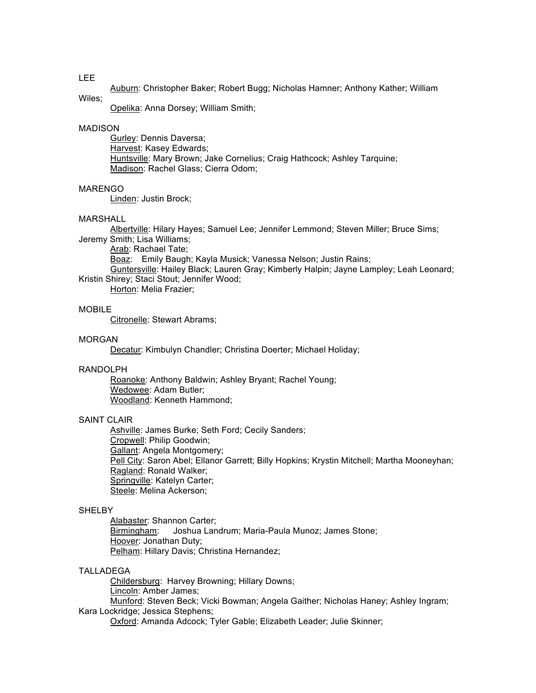# LEE

Auburn: Christopher Baker; Robert Bugg; Nicholas Hamner; Anthony Kather; William

# Wiles;

Opelika: Anna Dorsey; William Smith;

### MADISON

Gurley: Dennis Daversa; Harvest: Kasey Edwards; Huntsville: Mary Brown; Jake Cornelius; Craig Hathcock; Ashley Tarquine; Madison: Rachel Glass; Cierra Odom;

# MARENGO

Linden: Justin Brock;

### MARSHALL

Albertville: Hilary Hayes; Samuel Lee; Jennifer Lemmond; Steven Miller; Bruce Sims;

Jeremy Smith; Lisa Williams; Arab: Rachael Tate;

Boaz: Emily Baugh; Kayla Musick; Vanessa Nelson; Justin Rains;

Guntersville: Hailey Black; Lauren Gray; Kimberly Halpin; Jayne Lampley; Leah Leonard; Kristin Shirey; Staci Stout; Jennifer Wood;

Horton: Melia Frazier;

# MOBILE

Citronelle: Stewart Abrams;

### MORGAN

Decatur: Kimbulyn Chandler; Christina Doerter; Michael Holiday;

# RANDOLPH

Roanoke: Anthony Baldwin; Ashley Bryant; Rachel Young; Wedowee: Adam Butler; Woodland: Kenneth Hammond;

### SAINT CLAIR

Ashville: James Burke; Seth Ford; Cecily Sanders; Cropwell: Philip Goodwin; Gallant: Angela Montgomery; Pell City: Saron Abel; Ellanor Garrett; Billy Hopkins; Krystin Mitchell; Martha Mooneyhan; Ragland: Ronald Walker; Springville: Katelyn Carter; Steele: Melina Ackerson;

### **SHELBY**

Alabaster: Shannon Carter; Birmingham: Joshua Landrum; Maria-Paula Munoz; James Stone; Hoover: Jonathan Duty; Pelham: Hillary Davis; Christina Hernandez;

### TALLADEGA

Childersburg: Harvey Browning; Hillary Downs; Lincoln: Amber James; Munford: Steven Beck; Vicki Bowman; Angela Gaither; Nicholas Haney; Ashley Ingram;

### Kara Lockridge; Jessica Stephens;

Oxford: Amanda Adcock; Tyler Gable; Elizabeth Leader; Julie Skinner;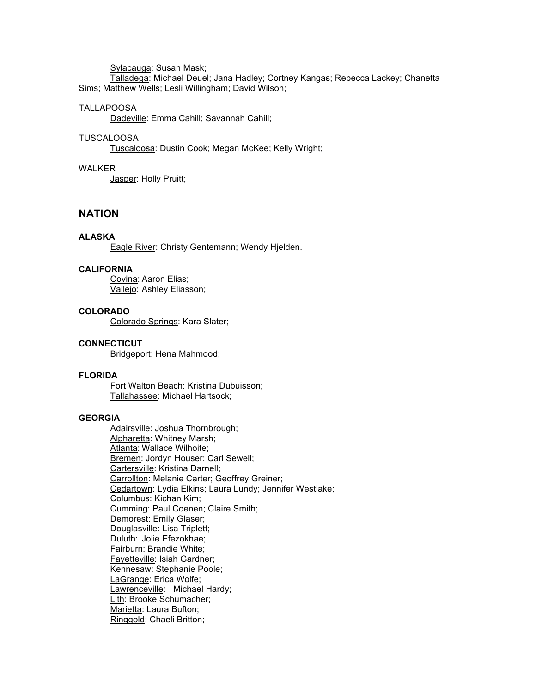Sylacauga: Susan Mask;

Talladega: Michael Deuel; Jana Hadley; Cortney Kangas; Rebecca Lackey; Chanetta Sims; Matthew Wells; Lesli Willingham; David Wilson;

### TALLAPOOSA

Dadeville: Emma Cahill; Savannah Cahill;

### TUSCALOOSA

Tuscaloosa: Dustin Cook; Megan McKee; Kelly Wright;

# WALKER

Jasper: Holly Pruitt;

# **NATION**

# **ALASKA**

Eagle River: Christy Gentemann; Wendy Hjelden.

# **CALIFORNIA**

Covina: Aaron Elias; Vallejo: Ashley Eliasson;

### **COLORADO**

Colorado Springs: Kara Slater;

# **CONNECTICUT**

Bridgeport: Hena Mahmood;

### **FLORIDA**

Fort Walton Beach: Kristina Dubuisson; Tallahassee: Michael Hartsock;

# **GEORGIA**

Adairsville: Joshua Thornbrough; Alpharetta: Whitney Marsh; Atlanta: Wallace Wilhoite; Bremen: Jordyn Houser; Carl Sewell; Cartersville: Kristina Darnell; Carrollton: Melanie Carter; Geoffrey Greiner; Cedartown: Lydia Elkins; Laura Lundy; Jennifer Westlake; Columbus: Kichan Kim; Cumming: Paul Coenen; Claire Smith; Demorest: Emily Glaser; Douglasville: Lisa Triplett; Duluth: Jolie Efezokhae; Fairburn: Brandie White; Fayetteville: Isiah Gardner; Kennesaw: Stephanie Poole; LaGrange: Erica Wolfe; Lawrenceville: Michael Hardy; Lith: Brooke Schumacher; Marietta: Laura Bufton; Ringgold: Chaeli Britton;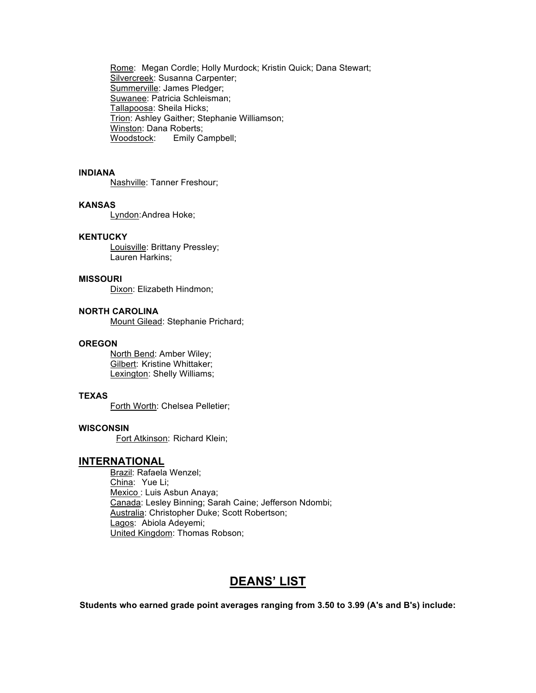Rome: Megan Cordle; Holly Murdock; Kristin Quick; Dana Stewart; Silvercreek: Susanna Carpenter; Summerville: James Pledger; Suwanee: Patricia Schleisman; Tallapoosa: Sheila Hicks; Trion: Ashley Gaither; Stephanie Williamson; Winston: Dana Roberts; Woodstock: Emily Campbell;

# **INDIANA**

Nashville: Tanner Freshour;

### **KANSAS**

Lyndon:Andrea Hoke;

# **KENTUCKY**

Louisville: Brittany Pressley; Lauren Harkins;

# **MISSOURI**

Dixon: Elizabeth Hindmon;

# **NORTH CAROLINA**

Mount Gilead: Stephanie Prichard;

### **OREGON**

North Bend: Amber Wiley; Gilbert: Kristine Whittaker; Lexington: Shelly Williams;

# **TEXAS**

Forth Worth: Chelsea Pelletier;

### **WISCONSIN**

Fort Atkinson: Richard Klein;

# **INTERNATIONAL**

Brazil: Rafaela Wenzel; China: Yue Li; Mexico : Luis Asbun Anaya; Canada: Lesley Binning; Sarah Caine; Jefferson Ndombi; Australia: Christopher Duke; Scott Robertson; Lagos: Abiola Adeyemi; United Kingdom: Thomas Robson;

# **DEANS' LIST**

**Students who earned grade point averages ranging from 3.50 to 3.99 (A's and B's) include:**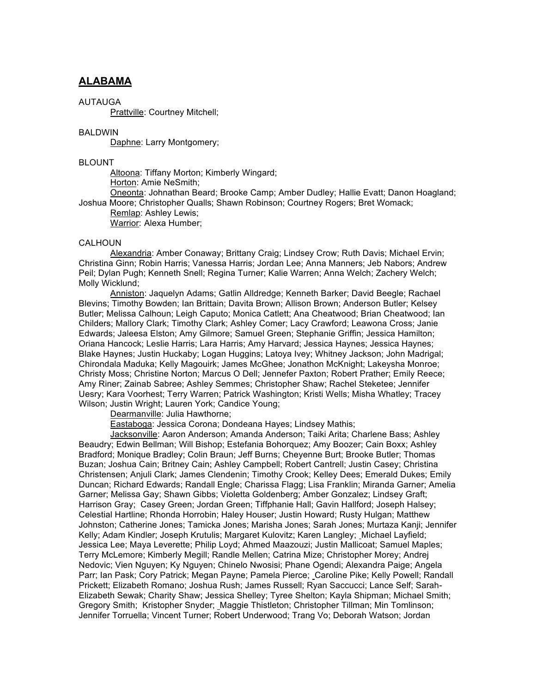# **ALABAMA**

### AUTAUGA

Prattville: Courtney Mitchell;

### **BALDWIN**

Daphne: Larry Montgomery;

### BLOUNT

Altoona: Tiffany Morton; Kimberly Wingard; Horton: Amie NeSmith;

Oneonta: Johnathan Beard; Brooke Camp; Amber Dudley; Hallie Evatt; Danon Hoagland; Joshua Moore; Christopher Qualls; Shawn Robinson; Courtney Rogers; Bret Womack;

Remlap: Ashley Lewis;

Warrior: Alexa Humber;

### **CALHOUN**

Alexandria: Amber Conaway; Brittany Craig; Lindsey Crow; Ruth Davis; Michael Ervin; Christina Ginn; Robin Harris; Vanessa Harris; Jordan Lee; Anna Manners; Jeb Nabors; Andrew Peil; Dylan Pugh; Kenneth Snell; Regina Turner; Kalie Warren; Anna Welch; Zachery Welch; Molly Wicklund;

Anniston: Jaquelyn Adams; Gatlin Alldredge; Kenneth Barker; David Beegle; Rachael Blevins; Timothy Bowden; Ian Brittain; Davita Brown; Allison Brown; Anderson Butler; Kelsey Butler; Melissa Calhoun; Leigh Caputo; Monica Catlett; Ana Cheatwood; Brian Cheatwood; Ian Childers; Mallory Clark; Timothy Clark; Ashley Comer; Lacy Crawford; Leawona Cross; Janie Edwards; Jaleesa Elston; Amy Gilmore; Samuel Green; Stephanie Griffin; Jessica Hamilton; Oriana Hancock; Leslie Harris; Lara Harris; Amy Harvard; Jessica Haynes; Jessica Haynes; Blake Haynes; Justin Huckaby; Logan Huggins; Latoya Ivey; Whitney Jackson; John Madrigal; Chirondala Maduka; Kelly Magouirk; James McGhee; Jonathon McKnight; Lakeysha Monroe; Christy Moss; Christine Norton; Marcus O Dell; Jennefer Paxton; Robert Prather; Emily Reece; Amy Riner; Zainab Sabree; Ashley Semmes; Christopher Shaw; Rachel Steketee; Jennifer Uesry; Kara Voorhest; Terry Warren; Patrick Washington; Kristi Wells; Misha Whatley; Tracey Wilson; Justin Wright; Lauren York; Candice Young;

Dearmanville: Julia Hawthorne;

Eastaboga: Jessica Corona; Dondeana Hayes; Lindsey Mathis;

Jacksonville: Aaron Anderson; Amanda Anderson; Taiki Arita; Charlene Bass; Ashley Beaudry; Edwin Bellman; Will Bishop; Estefania Bohorquez; Amy Boozer; Cain Boxx; Ashley Bradford; Monique Bradley; Colin Braun; Jeff Burns; Cheyenne Burt; Brooke Butler; Thomas Buzan; Joshua Cain; Britney Cain; Ashley Campbell; Robert Cantrell; Justin Casey; Christina Christensen; Anjuli Clark; James Clendenin; Timothy Crook; Kelley Dees; Emerald Dukes; Emily Duncan; Richard Edwards; Randall Engle; Charissa Flagg; Lisa Franklin; Miranda Garner; Amelia Garner; Melissa Gay; Shawn Gibbs; Violetta Goldenberg; Amber Gonzalez; Lindsey Graft; Harrison Gray; Casey Green; Jordan Green; Tiffphanie Hall; Gavin Hallford; Joseph Halsey; Celestial Hartline; Rhonda Horrobin; Haley Houser; Justin Howard; Rusty Hulgan; Matthew Johnston; Catherine Jones; Tamicka Jones; Marisha Jones; Sarah Jones; Murtaza Kanji; Jennifer Kelly; Adam Kindler; Joseph Krutulis; Margaret Kulovitz; Karen Langley; Michael Layfield; Jessica Lee; Maya Leverette; Philip Loyd; Ahmed Maazouzi; Justin Mallicoat; Samuel Maples; Terry McLemore; Kimberly Megill; Randle Mellen; Catrina Mize; Christopher Morey; Andrej Nedovic; Vien Nguyen; Ky Nguyen; Chinelo Nwosisi; Phane Ogendi; Alexandra Paige; Angela Parr; Ian Pask; Cory Patrick; Megan Payne; Pamela Pierce; Caroline Pike; Kelly Powell; Randall Prickett; Elizabeth Romano; Joshua Rush; James Russell; Ryan Saccucci; Lance Self; Sarah-Elizabeth Sewak; Charity Shaw; Jessica Shelley; Tyree Shelton; Kayla Shipman; Michael Smith; Gregory Smith; Kristopher Snyder; Maggie Thistleton; Christopher Tillman; Min Tomlinson; Jennifer Torruella; Vincent Turner; Robert Underwood; Trang Vo; Deborah Watson; Jordan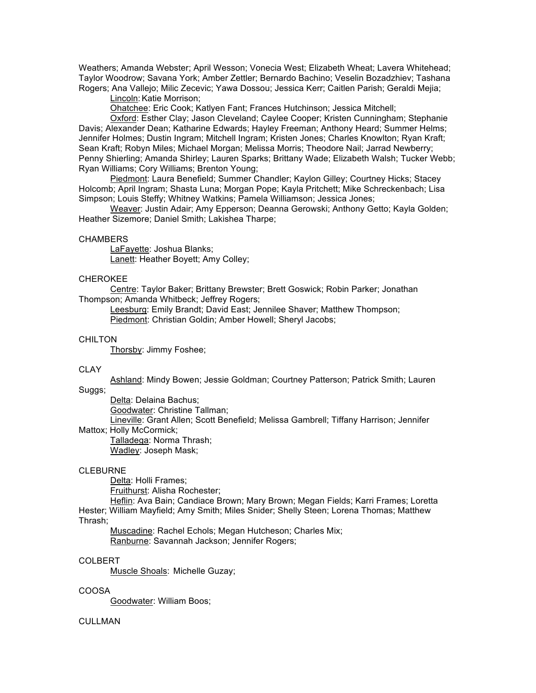Weathers; Amanda Webster; April Wesson; Vonecia West; Elizabeth Wheat; Lavera Whitehead; Taylor Woodrow; Savana York; Amber Zettler; Bernardo Bachino; Veselin Bozadzhiev; Tashana Rogers; Ana Vallejo; Milic Zecevic; Yawa Dossou; Jessica Kerr; Caitlen Parish; Geraldi Mejia;

Lincoln: Katie Morrison;

Ohatchee: Eric Cook; Katlyen Fant; Frances Hutchinson; Jessica Mitchell;

Oxford: Esther Clay; Jason Cleveland; Caylee Cooper; Kristen Cunningham; Stephanie Davis; Alexander Dean; Katharine Edwards; Hayley Freeman; Anthony Heard; Summer Helms; Jennifer Holmes; Dustin Ingram; Mitchell Ingram; Kristen Jones; Charles Knowlton; Ryan Kraft; Sean Kraft; Robyn Miles; Michael Morgan; Melissa Morris; Theodore Nail; Jarrad Newberry; Penny Shierling; Amanda Shirley; Lauren Sparks; Brittany Wade; Elizabeth Walsh; Tucker Webb; Ryan Williams; Cory Williams; Brenton Young;

Piedmont: Laura Benefield; Summer Chandler; Kaylon Gilley; Courtney Hicks; Stacey Holcomb; April Ingram; Shasta Luna; Morgan Pope; Kayla Pritchett; Mike Schreckenbach; Lisa Simpson; Louis Steffy; Whitney Watkins; Pamela Williamson; Jessica Jones;

Weaver: Justin Adair; Amy Epperson; Deanna Gerowski; Anthony Getto; Kayla Golden; Heather Sizemore; Daniel Smith; Lakishea Tharpe;

#### **CHAMBERS**

LaFayette: Joshua Blanks; Lanett: Heather Boyett; Amy Colley;

### CHEROKEE

Centre: Taylor Baker; Brittany Brewster; Brett Goswick; Robin Parker; Jonathan Thompson; Amanda Whitbeck; Jeffrey Rogers;

Leesburg: Emily Brandt; David East; Jennilee Shaver; Matthew Thompson; Piedmont: Christian Goldin; Amber Howell; Sheryl Jacobs;

### **CHILTON**

Thorsby: Jimmy Foshee;

#### CLAY

Ashland: Mindy Bowen; Jessie Goldman; Courtney Patterson; Patrick Smith; Lauren

# Suggs;

Delta: Delaina Bachus;

Goodwater: Christine Tallman;

Lineville: Grant Allen; Scott Benefield; Melissa Gambrell; Tiffany Harrison; Jennifer Mattox; Holly McCormick;

Talladega: Norma Thrash; Wadley: Joseph Mask;

#### CLEBURNE

Delta: Holli Frames;

Fruithurst: Alisha Rochester;

Heflin: Ava Bain; Candiace Brown; Mary Brown; Megan Fields; Karri Frames; Loretta Hester; William Mayfield; Amy Smith; Miles Snider; Shelly Steen; Lorena Thomas; Matthew Thrash;

Muscadine: Rachel Echols; Megan Hutcheson; Charles Mix; Ranburne: Savannah Jackson; Jennifer Rogers;

### COLBERT

Muscle Shoals: Michelle Guzay;

### COOSA

Goodwater: William Boos;

### **CULLMAN**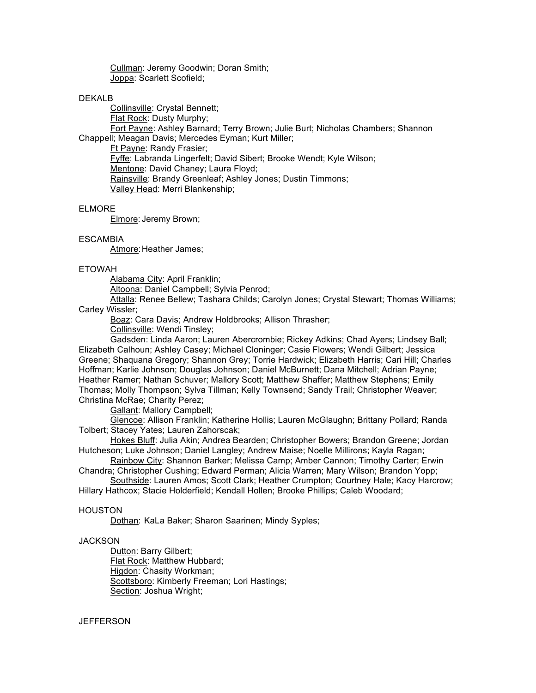Cullman: Jeremy Goodwin; Doran Smith; Joppa: Scarlett Scofield;

### DEKALB

Collinsville: Crystal Bennett; Flat Rock: Dusty Murphy; Fort Payne: Ashley Barnard; Terry Brown; Julie Burt; Nicholas Chambers; Shannon Chappell; Meagan Davis; Mercedes Eyman; Kurt Miller; Ft Payne: Randy Frasier; Fyffe: Labranda Lingerfelt; David Sibert; Brooke Wendt; Kyle Wilson; Mentone: David Chaney; Laura Floyd; Rainsville: Brandy Greenleaf; Ashley Jones; Dustin Timmons; Valley Head: Merri Blankenship;

### ELMORE

Elmore: Jeremy Brown;

### **ESCAMBIA**

Atmore: Heather James;

### ETOWAH

Alabama City: April Franklin;

Altoona: Daniel Campbell; Sylvia Penrod;

Attalla: Renee Bellew; Tashara Childs; Carolyn Jones; Crystal Stewart; Thomas Williams; Carley Wissler;

Boaz: Cara Davis; Andrew Holdbrooks; Allison Thrasher;

Collinsville: Wendi Tinsley;

Gadsden: Linda Aaron; Lauren Abercrombie; Rickey Adkins; Chad Ayers; Lindsey Ball; Elizabeth Calhoun; Ashley Casey; Michael Cloninger; Casie Flowers; Wendi Gilbert; Jessica Greene; Shaquana Gregory; Shannon Grey; Torrie Hardwick; Elizabeth Harris; Cari Hill; Charles Hoffman; Karlie Johnson; Douglas Johnson; Daniel McBurnett; Dana Mitchell; Adrian Payne; Heather Ramer; Nathan Schuver; Mallory Scott; Matthew Shaffer; Matthew Stephens; Emily Thomas; Molly Thompson; Sylva Tillman; Kelly Townsend; Sandy Trail; Christopher Weaver; Christina McRae; Charity Perez;

Gallant: Mallory Campbell;

Glencoe: Allison Franklin; Katherine Hollis; Lauren McGlaughn; Brittany Pollard; Randa Tolbert; Stacey Yates; Lauren Zahorscak;

Hokes Bluff: Julia Akin; Andrea Bearden; Christopher Bowers; Brandon Greene; Jordan Hutcheson; Luke Johnson; Daniel Langley; Andrew Maise; Noelle Millirons; Kayla Ragan;

Rainbow City: Shannon Barker; Melissa Camp; Amber Cannon; Timothy Carter; Erwin Chandra; Christopher Cushing; Edward Perman; Alicia Warren; Mary Wilson; Brandon Yopp;

Southside: Lauren Amos; Scott Clark; Heather Crumpton; Courtney Hale; Kacy Harcrow; Hillary Hathcox; Stacie Holderfield; Kendall Hollen; Brooke Phillips; Caleb Woodard;

### HOUSTON

Dothan: KaLa Baker; Sharon Saarinen; Mindy Syples;

### **JACKSON**

Dutton: Barry Gilbert; Flat Rock: Matthew Hubbard; Higdon: Chasity Workman; Scottsboro: Kimberly Freeman; Lori Hastings; Section: Joshua Wright;

### **JEFFERSON**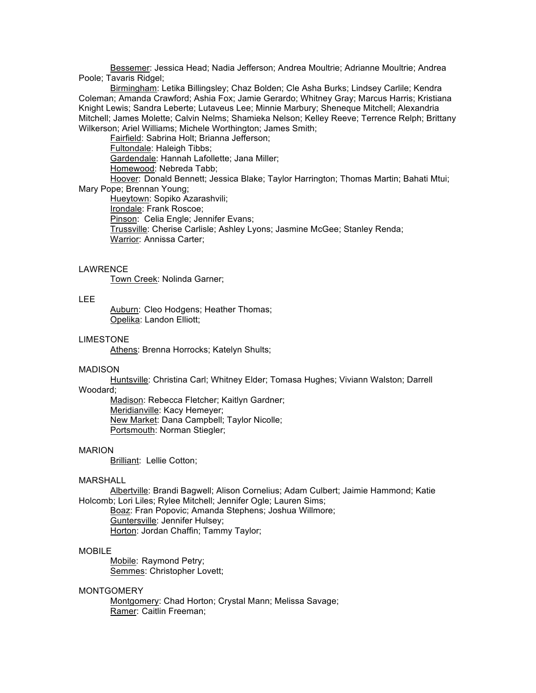Bessemer: Jessica Head; Nadia Jefferson; Andrea Moultrie; Adrianne Moultrie; Andrea Poole; Tavaris Ridgel;

Birmingham: Letika Billingsley; Chaz Bolden; Cle Asha Burks; Lindsey Carlile; Kendra Coleman; Amanda Crawford; Ashia Fox; Jamie Gerardo; Whitney Gray; Marcus Harris; Kristiana Knight Lewis; Sandra Leberte; Lutaveus Lee; Minnie Marbury; Sheneque Mitchell; Alexandria Mitchell; James Molette; Calvin Nelms; Shamieka Nelson; Kelley Reeve; Terrence Relph; Brittany Wilkerson; Ariel Williams; Michele Worthington; James Smith;

Fairfield: Sabrina Holt; Brianna Jefferson;

Fultondale: Haleigh Tibbs; Gardendale: Hannah Lafollette; Jana Miller; Homewood: Nebreda Tabb;

Hoover: Donald Bennett; Jessica Blake; Taylor Harrington; Thomas Martin; Bahati Mtui; Mary Pope; Brennan Young;

Hueytown: Sopiko Azarashvili; Irondale: Frank Roscoe; Pinson: Celia Engle; Jennifer Evans; Trussville: Cherise Carlisle; Ashley Lyons; Jasmine McGee; Stanley Renda; Warrior: Annissa Carter;

### LAWRENCE

Town Creek: Nolinda Garner;

# LEE

Auburn: Cleo Hodgens; Heather Thomas; Opelika: Landon Elliott;

### LIMESTONE

Athens: Brenna Horrocks; Katelyn Shults;

#### MADISON

Huntsville: Christina Carl; Whitney Elder; Tomasa Hughes; Viviann Walston; Darrell Woodard;

Madison: Rebecca Fletcher; Kaitlyn Gardner; Meridianville: Kacy Hemeyer; New Market: Dana Campbell; Taylor Nicolle; Portsmouth: Norman Stiegler;

#### MARION

Brilliant: Lellie Cotton;

### MARSHALL

Albertville: Brandi Bagwell; Alison Cornelius; Adam Culbert; Jaimie Hammond; Katie Holcomb; Lori Liles; Rylee Mitchell; Jennifer Ogle; Lauren Sims;

Boaz: Fran Popovic; Amanda Stephens; Joshua Willmore; Guntersville: Jennifer Hulsey; Horton: Jordan Chaffin; Tammy Taylor;

### MOBILE

Mobile: Raymond Petry; Semmes: Christopher Lovett;

### MONTGOMERY

Montgomery: Chad Horton; Crystal Mann; Melissa Savage; Ramer: Caitlin Freeman;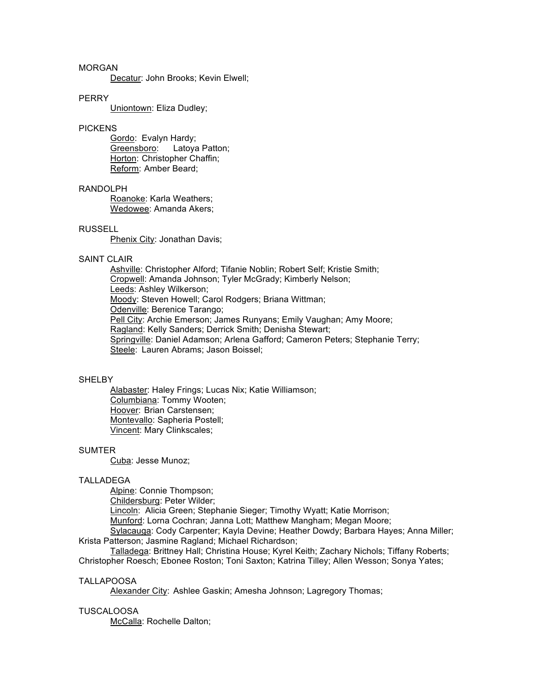# MORGAN

Decatur: John Brooks; Kevin Elwell;

### PERRY

Uniontown: Eliza Dudley;

### PICKENS

Gordo: Evalyn Hardy; Greensboro: Latoya Patton; Horton: Christopher Chaffin; Reform: Amber Beard;

# RANDOLPH

Roanoke: Karla Weathers; Wedowee: Amanda Akers;

### RUSSELL

Phenix City: Jonathan Davis;

### SAINT CLAIR

Ashville: Christopher Alford; Tifanie Noblin; Robert Self; Kristie Smith; Cropwell: Amanda Johnson; Tyler McGrady; Kimberly Nelson; Leeds: Ashley Wilkerson; Moody: Steven Howell; Carol Rodgers; Briana Wittman; Odenville: Berenice Tarango; Pell City: Archie Emerson; James Runyans; Emily Vaughan; Amy Moore; Ragland: Kelly Sanders; Derrick Smith; Denisha Stewart; Springville: Daniel Adamson; Arlena Gafford; Cameron Peters; Stephanie Terry; Steele: Lauren Abrams; Jason Boissel;

### SHELBY

Alabaster: Haley Frings; Lucas Nix; Katie Williamson; Columbiana: Tommy Wooten; Hoover: Brian Carstensen; Montevallo: Sapheria Postell; Vincent: Mary Clinkscales;

### **SUMTER**

Cuba: Jesse Munoz;

### TALLADEGA

Alpine: Connie Thompson;

Childersburg: Peter Wilder;

Lincoln: Alicia Green; Stephanie Sieger; Timothy Wyatt; Katie Morrison;

Munford: Lorna Cochran; Janna Lott; Matthew Mangham; Megan Moore;

Sylacauga: Cody Carpenter; Kayla Devine; Heather Dowdy; Barbara Hayes; Anna Miller; Krista Patterson; Jasmine Ragland; Michael Richardson;

Talladega: Brittney Hall; Christina House; Kyrel Keith; Zachary Nichols; Tiffany Roberts; Christopher Roesch; Ebonee Roston; Toni Saxton; Katrina Tilley; Allen Wesson; Sonya Yates;

### TALLAPOOSA

Alexander City: Ashlee Gaskin; Amesha Johnson; Lagregory Thomas;

# TUSCALOOSA

McCalla: Rochelle Dalton;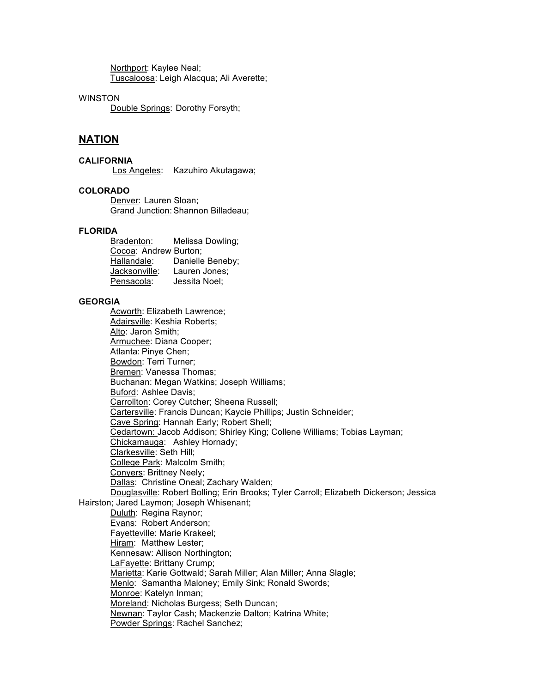Northport: Kaylee Neal; Tuscaloosa: Leigh Alacqua; Ali Averette;

# **WINSTON**

Double Springs: Dorothy Forsyth;

# **NATION**

# **CALIFORNIA**

Los Angeles: Kazuhiro Akutagawa;

# **COLORADO**

Denver: Lauren Sloan; Grand Junction:Shannon Billadeau;

# **FLORIDA**

Bradenton: Melissa Dowling; Cocoa: Andrew Burton; Hallandale: Danielle Beneby; Jacksonville: Lauren Jones; Pensacola: Jessita Noel;

### **GEORGIA**

Acworth: Elizabeth Lawrence; Adairsville: Keshia Roberts; Alto: Jaron Smith; Armuchee: Diana Cooper; Atlanta: Pinye Chen; Bowdon: Terri Turner; Bremen: Vanessa Thomas; Buchanan: Megan Watkins; Joseph Williams; Buford: Ashlee Davis; Carrollton: Corey Cutcher; Sheena Russell; Cartersville: Francis Duncan; Kaycie Phillips; Justin Schneider; Cave Spring: Hannah Early; Robert Shell; Cedartown: Jacob Addison; Shirley King; Collene Williams; Tobias Layman; Chickamauga: Ashley Hornady; Clarkesville: Seth Hill; College Park: Malcolm Smith; Conyers: Brittney Neely; Dallas: Christine Oneal; Zachary Walden; Douglasville: Robert Bolling; Erin Brooks; Tyler Carroll; Elizabeth Dickerson; Jessica Hairston; Jared Laymon; Joseph Whisenant; Duluth: Regina Raynor; Evans: Robert Anderson; Fayetteville: Marie Krakeel; Hiram: Matthew Lester; Kennesaw: Allison Northington; LaFayette: Brittany Crump; Marietta: Karie Gottwald; Sarah Miller; Alan Miller; Anna Slagle; Menlo: Samantha Maloney; Emily Sink; Ronald Swords; Monroe: Katelyn Inman; Moreland: Nicholas Burgess; Seth Duncan; Newnan: Taylor Cash; Mackenzie Dalton; Katrina White; Powder Springs: Rachel Sanchez;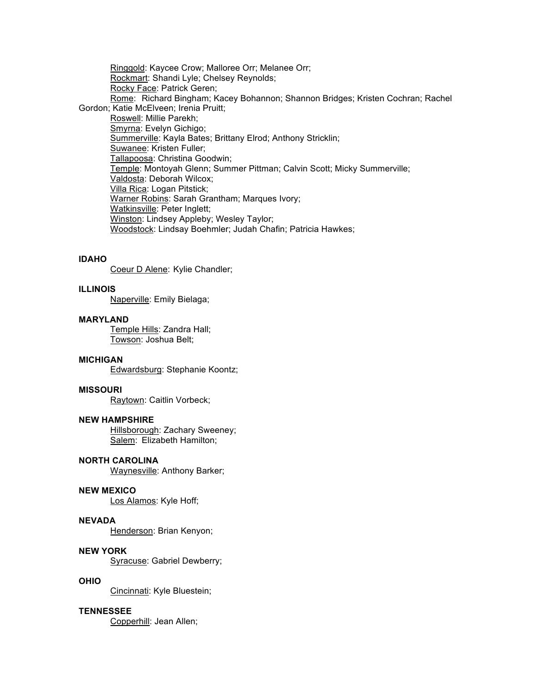Ringgold: Kaycee Crow; Malloree Orr; Melanee Orr; Rockmart: Shandi Lyle; Chelsey Reynolds; Rocky Face: Patrick Geren; Rome: Richard Bingham; Kacey Bohannon; Shannon Bridges; Kristen Cochran; Rachel Gordon; Katie McElveen; Irenia Pruitt; Roswell: Millie Parekh; Smyrna: Evelyn Gichigo; Summerville: Kayla Bates; Brittany Elrod; Anthony Stricklin; Suwanee: Kristen Fuller; Tallapoosa: Christina Goodwin; Temple: Montoyah Glenn; Summer Pittman; Calvin Scott; Micky Summerville; Valdosta: Deborah Wilcox; Villa Rica: Logan Pitstick; Warner Robins: Sarah Grantham; Marques Ivory; Watkinsville: Peter Inglett; Winston: Lindsey Appleby; Wesley Taylor; Woodstock: Lindsay Boehmler; Judah Chafin; Patricia Hawkes;

### **IDAHO**

Coeur D Alene: Kylie Chandler;

### **ILLINOIS**

Naperville: Emily Bielaga;

# **MARYLAND**

Temple Hills: Zandra Hall; Towson: Joshua Belt;

### **MICHIGAN**

Edwardsburg: Stephanie Koontz;

# **MISSOURI**

Raytown: Caitlin Vorbeck;

### **NEW HAMPSHIRE**

Hillsborough: Zachary Sweeney; Salem: Elizabeth Hamilton;

### **NORTH CAROLINA**

Waynesville: Anthony Barker;

# **NEW MEXICO**

Los Alamos: Kyle Hoff;

# **NEVADA**

Henderson: Brian Kenyon;

# **NEW YORK**

Syracuse: Gabriel Dewberry;

# **OHIO**

Cincinnati: Kyle Bluestein;

# **TENNESSEE**

Copperhill: Jean Allen;